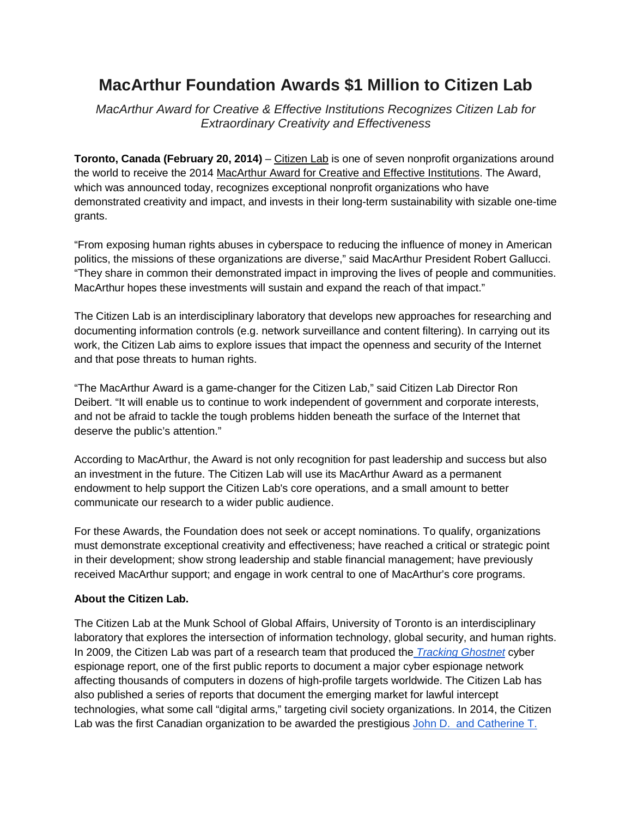## **MacArthur Foundation Awards \$1 Million to Citizen Lab**

*MacArthur Award for Creative & Effective Institutions Recognizes Citizen Lab for Extraordinary Creativity and Effectiveness*

**Toronto, Canada (February 20, 2014)** – [Citizen Lab](https://citizenlab.org/) is one of seven nonprofit organizations around the world to receive the 2014 [MacArthur Award for Creative and Effective Institutions.](http://www.macfound.org/programs/macei/) The Award, which was announced today, recognizes exceptional nonprofit organizations who have demonstrated creativity and impact, and invests in their long-term sustainability with sizable one-time grants.

"From exposing human rights abuses in cyberspace to reducing the influence of money in American politics, the missions of these organizations are diverse," said MacArthur President Robert Gallucci. "They share in common their demonstrated impact in improving the lives of people and communities. MacArthur hopes these investments will sustain and expand the reach of that impact."

The Citizen Lab is an interdisciplinary laboratory that develops new approaches for researching and documenting information controls (e.g. network surveillance and content filtering). In carrying out its work, the Citizen Lab aims to explore issues that impact the openness and security of the Internet and that pose threats to human rights.

"The MacArthur Award is a game-changer for the Citizen Lab," said Citizen Lab Director Ron Deibert. "It will enable us to continue to work independent of government and corporate interests, and not be afraid to tackle the tough problems hidden beneath the surface of the Internet that deserve the public's attention."

According to MacArthur, the Award is not only recognition for past leadership and success but also an investment in the future. The Citizen Lab will use its MacArthur Award as a permanent endowment to help support the Citizen Lab's core operations, and a small amount to better communicate our research to a wider public audience.

For these Awards, the Foundation does not seek or accept nominations. To qualify, organizations must demonstrate exceptional creativity and effectiveness; have reached a critical or strategic point in their development; show strong leadership and stable financial management; have previously received MacArthur support; and engage in work central to one of MacArthur's core programs.

## **About the Citizen Lab.**

The Citizen Lab at the Munk School of Global Affairs, University of Toronto is an interdisciplinary laboratory that explores the intersection of information technology, global security, and human rights. In 2009, the Citizen Lab was part of a research team that produced th[e](http://www.infowar-monitor.net/2009/09/tracking-ghostnet-investigating-a-cyber-espionage-network/) *[Tracking Ghostnet](http://www.infowar-monitor.net/2009/09/tracking-ghostnet-investigating-a-cyber-espionage-network/)* cyber espionage report, one of the first public reports to document a major cyber espionage network affecting thousands of computers in dozens of high-profile targets worldwide. The Citizen Lab has also published a series of reports that document the emerging market for lawful intercept technologies, what some call "digital arms," targeting civil society organizations. In 2014, the Citizen Lab was the first Canadian organization to be awarded the prestigious [John D. and Catherine T.](http://news.utoronto.ca/macarthur-award-u-ts-citizen-lab)